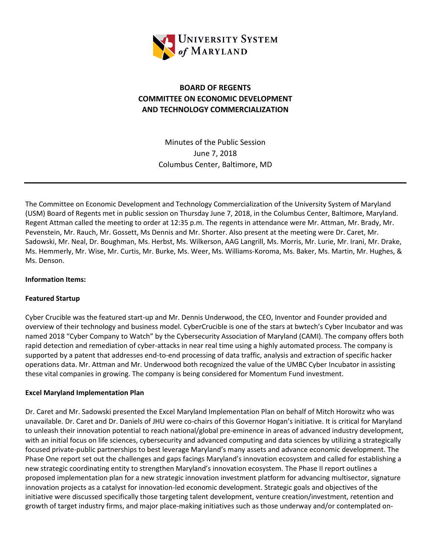

## **BOARD OF REGENTS COMMITTEE ON ECONOMIC DEVELOPMENT AND TECHNOLOGY COMMERCIALIZATION**

Minutes of the Public Session June 7, 2018 Columbus Center, Baltimore, MD

The Committee on Economic Development and Technology Commercialization of the University System of Maryland (USM) Board of Regents met in public session on Thursday June 7, 2018, in the Columbus Center, Baltimore, Maryland. Regent Attman called the meeting to order at 12:35 p.m. The regents in attendance were Mr. Attman, Mr. Brady, Mr. Pevenstein, Mr. Rauch, Mr. Gossett, Ms Dennis and Mr. Shorter. Also present at the meeting were Dr. Caret, Mr. Sadowski, Mr. Neal, Dr. Boughman, Ms. Herbst, Ms. Wilkerson, AAG Langrill, Ms. Morris, Mr. Lurie, Mr. Irani, Mr. Drake, Ms. Hemmerly, Mr. Wise, Mr. Curtis, Mr. Burke, Ms. Weer, Ms. Williams-Koroma, Ms. Baker, Ms. Martin, Mr. Hughes, & Ms. Denson.

## **Information Items:**

## **Featured Startup**

Cyber Crucible was the featured start-up and Mr. Dennis Underwood, the CEO, Inventor and Founder provided and overview of their technology and business model. CyberCrucible is one of the stars at bwtech's Cyber Incubator and was named 2018 "Cyber Company to Watch" by the Cybersecurity Association of Maryland (CAMI). The company offers both rapid detection and remediation of cyber-attacks in near real time using a highly automated process. The company is supported by a patent that addresses end-to-end processing of data traffic, analysis and extraction of specific hacker operations data. Mr. Attman and Mr. Underwood both recognized the value of the UMBC Cyber Incubator in assisting these vital companies in growing. The company is being considered for Momentum Fund investment.

## **Excel Maryland Implementation Plan**

Dr. Caret and Mr. Sadowski presented the Excel Maryland Implementation Plan on behalf of Mitch Horowitz who was unavailable. Dr. Caret and Dr. Daniels of JHU were co-chairs of this Governor Hogan's initiative. It is critical for Maryland to unleash their innovation potential to reach national/global pre-eminence in areas of advanced industry development, with an initial focus on life sciences, cybersecurity and advanced computing and data sciences by utilizing a strategically focused private-public partnerships to best leverage Maryland's many assets and advance economic development. The Phase One report set out the challenges and gaps facings Maryland's innovation ecosystem and called for establishing a new strategic coordinating entity to strengthen Maryland's innovation ecosystem. The Phase II report outlines a proposed implementation plan for a new strategic innovation investment platform for advancing multisector, signature innovation projects as a catalyst for innovation-led economic development. Strategic goals and objectives of the initiative were discussed specifically those targeting talent development, venture creation/investment, retention and growth of target industry firms, and major place-making initiatives such as those underway and/or contemplated on